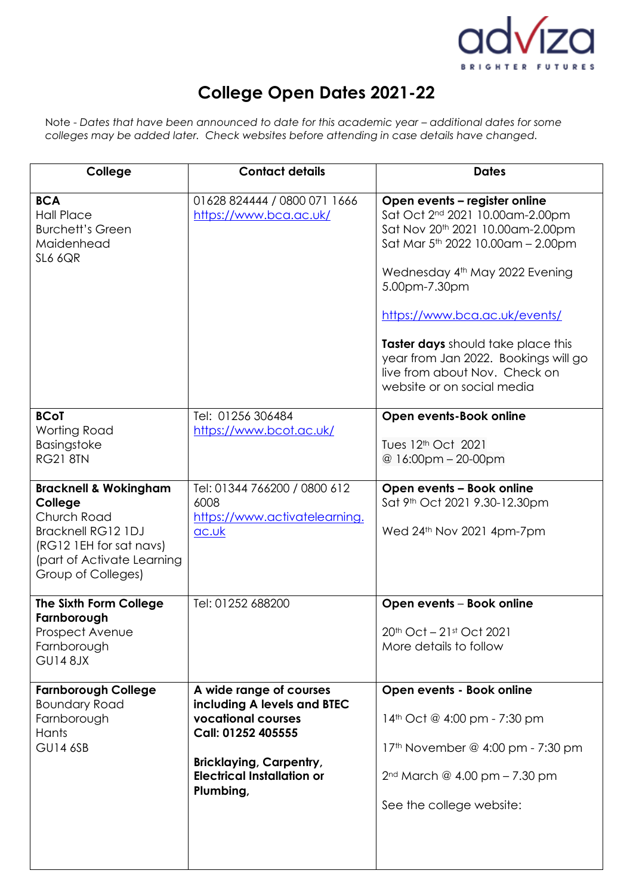

# **College Open Dates 2021-22**

Note - Dates that have been announced to date for this academic year - additional dates for some *colleges may be added later. Check websites before attending in case details have changed.* 

| College                                                                                                                                                                | <b>Contact details</b>                                                                                                                                                                 | <b>Dates</b>                                                                                                                                                                                                                                                                                                                                                                                       |
|------------------------------------------------------------------------------------------------------------------------------------------------------------------------|----------------------------------------------------------------------------------------------------------------------------------------------------------------------------------------|----------------------------------------------------------------------------------------------------------------------------------------------------------------------------------------------------------------------------------------------------------------------------------------------------------------------------------------------------------------------------------------------------|
| <b>BCA</b><br><b>Hall Place</b><br><b>Burchett's Green</b><br>Maidenhead<br>SL6 6QR                                                                                    | 01628 824444 / 0800 071 1666<br>https://www.bca.ac.uk/                                                                                                                                 | Open events - register online<br>Sat Oct 2 <sup>nd</sup> 2021 10.00am-2.00pm<br>Sat Nov 20th 2021 10.00am-2.00pm<br>Sat Mar 5 <sup>th</sup> 2022 10.00am - 2.00pm<br>Wednesday 4th May 2022 Evening<br>5.00pm-7.30pm<br>https://www.bca.ac.uk/events/<br>Taster days should take place this<br>year from Jan 2022. Bookings will go<br>live from about Nov. Check on<br>website or on social media |
| <b>BCoT</b><br>Worting Road<br><b>Basingstoke</b><br><b>RG21 8TN</b>                                                                                                   | Tel: 01256 306484<br>https://www.bcot.ac.uk/                                                                                                                                           | Open events-Book online<br>Tues 12 <sup>th</sup> Oct 2021<br>@ 16:00pm - 20-00pm                                                                                                                                                                                                                                                                                                                   |
| <b>Bracknell &amp; Wokingham</b><br>College<br>Church Road<br><b>Bracknell RG12 1DJ</b><br>(RG12 1EH for sat navs)<br>(part of Activate Learning<br>Group of Colleges) | Tel: 01344 766200 / 0800 612<br>6008<br>https://www.activatelearning.<br>ac.uk                                                                                                         | Open events - Book online<br>Sat 9 <sup>th</sup> Oct 2021 9.30-12.30pm<br>Wed 24th Nov 2021 4pm-7pm                                                                                                                                                                                                                                                                                                |
| The Sixth Form College<br>Farnborough<br>Prospect Avenue<br>Farnborough<br><b>GU148JX</b>                                                                              | Tel: 01252 688200                                                                                                                                                                      | Open events - Book online<br>20th Oct - 21st Oct 2021<br>More details to follow                                                                                                                                                                                                                                                                                                                    |
| <b>Farnborough College</b><br><b>Boundary Road</b><br>Farnborough<br>Hants<br><b>GU14 6SB</b>                                                                          | A wide range of courses<br>including A levels and BTEC<br>vocational courses<br>Call: 01252 405555<br><b>Bricklaying, Carpentry,</b><br><b>Electrical Installation or</b><br>Plumbing, | Open events - Book online<br>14th Oct @ 4:00 pm - 7:30 pm<br>17 <sup>th</sup> November @ 4:00 pm - 7:30 pm<br>2 <sup>nd</sup> March @ 4.00 pm - 7.30 pm<br>See the college website:                                                                                                                                                                                                                |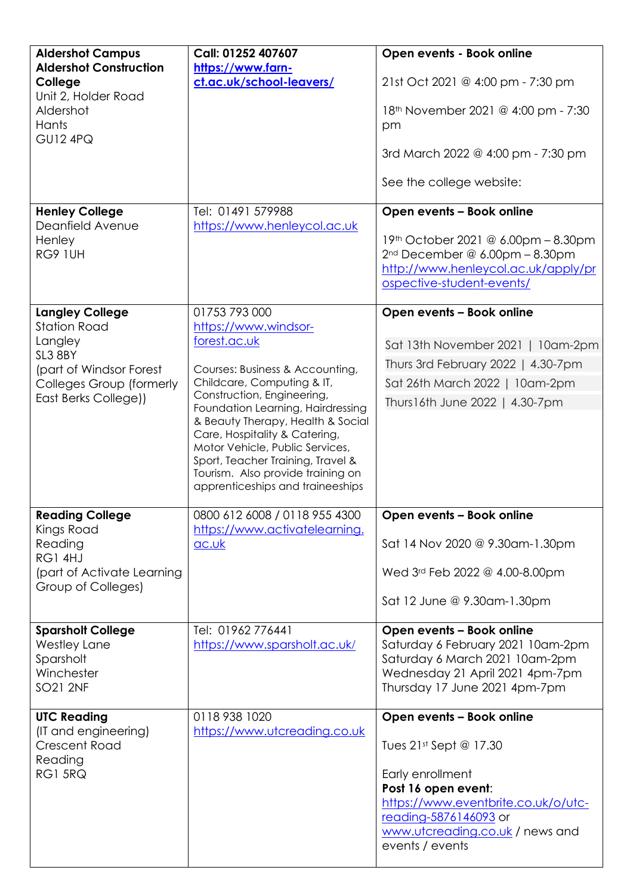| <b>Aldershot Campus</b>                                                                                  | Call: 01252 407607                                                                                                                                                                                                                                       | Open events - Book online                                                                                                                                            |
|----------------------------------------------------------------------------------------------------------|----------------------------------------------------------------------------------------------------------------------------------------------------------------------------------------------------------------------------------------------------------|----------------------------------------------------------------------------------------------------------------------------------------------------------------------|
| <b>Aldershot Construction</b><br>College<br>Unit 2, Holder Road<br>Aldershot<br>Hants<br><b>GU12 4PQ</b> | https://www.farn-<br>ct.ac.uk/school-leavers/                                                                                                                                                                                                            | 21st Oct 2021 @ 4:00 pm - 7:30 pm                                                                                                                                    |
|                                                                                                          |                                                                                                                                                                                                                                                          | 18 <sup>th</sup> November 2021 @ 4:00 pm - 7:30<br>pm                                                                                                                |
|                                                                                                          |                                                                                                                                                                                                                                                          | 3rd March 2022 @ 4:00 pm - 7:30 pm                                                                                                                                   |
|                                                                                                          |                                                                                                                                                                                                                                                          | See the college website:                                                                                                                                             |
| <b>Henley College</b><br>Deanfield Avenue                                                                | Tel: 01491 579988<br>https://www.henleycol.ac.uk                                                                                                                                                                                                         | Open events - Book online                                                                                                                                            |
| Henley<br><b>RG9 1UH</b>                                                                                 |                                                                                                                                                                                                                                                          | 19th October 2021 @ 6.00pm - 8.30pm<br>$2nd December @ 6.00pm - 8.30pm$<br>http://www.henleycol.ac.uk/apply/pr<br>ospective-student-events/                          |
| <b>Langley College</b><br><b>Station Road</b>                                                            | 01753 793 000<br>https://www.windsor-                                                                                                                                                                                                                    | Open events - Book online                                                                                                                                            |
| Langley<br>SL3 8BY                                                                                       | forest.ac.uk                                                                                                                                                                                                                                             | Sat 13th November 2021   10am-2pm                                                                                                                                    |
| (part of Windsor Forest                                                                                  | Courses: Business & Accounting,                                                                                                                                                                                                                          | Thurs 3rd February 2022   4.30-7pm                                                                                                                                   |
| Colleges Group (formerly<br>East Berks College))                                                         | Childcare, Computing & IT,<br>Construction, Engineering,                                                                                                                                                                                                 | Sat 26th March 2022   10am-2pm<br>Thurs16th June 2022   4.30-7pm                                                                                                     |
|                                                                                                          | Foundation Learning, Hairdressing<br>& Beauty Therapy, Health & Social<br>Care, Hospitality & Catering,<br>Motor Vehicle, Public Services,<br>Sport, Teacher Training, Travel &<br>Tourism. Also provide training on<br>apprenticeships and traineeships |                                                                                                                                                                      |
| <b>Reading College</b><br>Kings Road                                                                     | 0800 612 6008 / 0118 955 4300<br>https://www.activatelearning.                                                                                                                                                                                           | Open events - Book online                                                                                                                                            |
| Reading<br>RG1 4HJ                                                                                       | ac.uk                                                                                                                                                                                                                                                    | Sat 14 Nov 2020 @ 9.30am-1.30pm                                                                                                                                      |
| (part of Activate Learning<br>Group of Colleges)                                                         |                                                                                                                                                                                                                                                          | Wed 3rd Feb 2022 @ 4.00-8.00pm                                                                                                                                       |
|                                                                                                          |                                                                                                                                                                                                                                                          | Sat 12 June @ 9.30am-1.30pm                                                                                                                                          |
| <b>Sparsholt College</b><br><b>Westley Lane</b><br>Sparsholt<br>Winchester<br><b>SO21 2NF</b>            | Tel: 01962 776441<br>https://www.sparsholt.ac.uk/                                                                                                                                                                                                        | Open events - Book online<br>Saturday 6 February 2021 10am-2pm<br>Saturday 6 March 2021 10am-2pm<br>Wednesday 21 April 2021 4pm-7pm<br>Thursday 17 June 2021 4pm-7pm |
| <b>UTC Reading</b><br>(IT and engineering)                                                               | 0118 938 1020<br>https://www.utcreading.co.uk                                                                                                                                                                                                            | Open events - Book online                                                                                                                                            |
| <b>Crescent Road</b>                                                                                     |                                                                                                                                                                                                                                                          | Tues $21st$ Sept @ 17.30                                                                                                                                             |
| Reading<br>RG1 5RQ                                                                                       |                                                                                                                                                                                                                                                          | Early enrollment<br>Post 16 open event:<br>https://www.eventbrite.co.uk/o/utc-<br>reading-5876146093 or<br>www.utcreading.co.uk / news and<br>events / events        |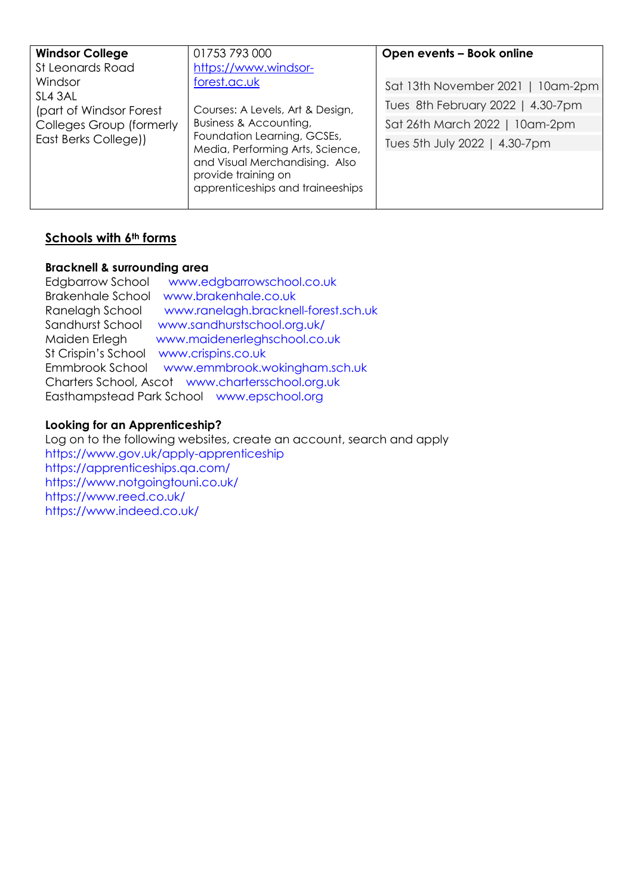| <b>Windsor College</b><br>St Leonards Road | 01753 793 000<br>https://www.windsor-                                                                                                                                                                                      | Open events - Book online         |
|--------------------------------------------|----------------------------------------------------------------------------------------------------------------------------------------------------------------------------------------------------------------------------|-----------------------------------|
| Windsor<br>forest.ac.uk                    |                                                                                                                                                                                                                            | Sat 13th November 2021   10am-2pm |
| SL4 3AL<br>(part of Windsor Forest         | Courses: A Levels, Art & Design,<br>Business & Accounting,<br>Foundation Learning, GCSEs,<br>Media, Performing Arts, Science,<br>and Visual Merchandising. Also<br>provide training on<br>apprenticeships and traineeships | Tues 8th February 2022   4.30-7pm |
| Colleges Group (formerly                   |                                                                                                                                                                                                                            | Sat 26th March 2022   10am-2pm    |
| East Berks College))                       |                                                                                                                                                                                                                            | Tues 5th July 2022   4.30-7pm     |

# **Schools with 6th forms**

### **Bracknell & surrounding area**

| <b>Edgbarrow School</b>                          | www.edgbarrowschool.co.uk            |  |
|--------------------------------------------------|--------------------------------------|--|
| <b>Brakenhale School</b>                         | www.brakenhale.co.uk                 |  |
| Ranelagh School                                  | www.ranelagh.bracknell-forest.sch.uk |  |
| Sandhurst School                                 | www.sandhurstschool.org.uk/          |  |
| Maiden Erlegh                                    | www.maidenerleghschool.co.uk         |  |
| St Crispin's School                              | www.crispins.co.uk                   |  |
| Emmbrook School                                  | www.emmbrook.wokingham.sch.uk        |  |
| Charters School, Ascot www.chartersschool.org.uk |                                      |  |
| Easthampstead Park School www.epschool.org       |                                      |  |

#### **Looking for an Apprenticeship?**

Log on to the following websites, create an account, search and apply <https://www.gov.uk/apply-apprenticeship> <https://apprenticeships.qa.com/> <https://www.notgoingtouni.co.uk/> <https://www.reed.co.uk/> <https://www.indeed.co.uk/>